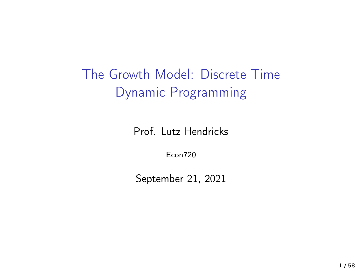The Growth Model: Discrete Time Dynamic Programming

Prof. Lutz Hendricks

Econ720

September 21, 2021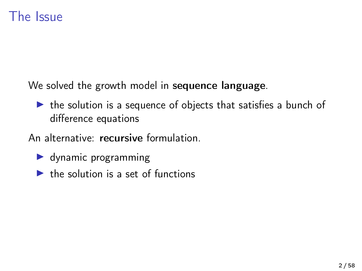#### The Issue

We solved the growth model in sequence language.

 $\triangleright$  the solution is a sequence of objects that satisfies a bunch of difference equations

An alternative: recursive formulation.

- $\blacktriangleright$  dynamic programming
- $\blacktriangleright$  the solution is a set of functions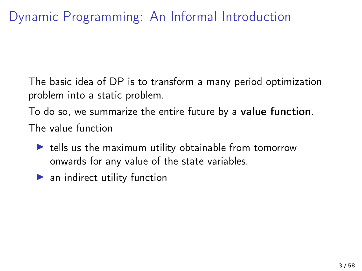The basic idea of DP is to transform a many period optimization problem into a static problem.

To do so, we summarize the entire future by a value function. The value function

- $\blacktriangleright$  tells us the maximum utility obtainable from tomorrow onwards for any value of the state variables.
- $\blacktriangleright$  an indirect utility function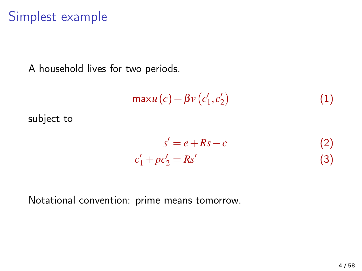#### Simplest example

A household lives for two periods.

$$
\max u(c) + \beta v(c'_1, c'_2) \tag{1}
$$

subject to

$$
s' = e + Rs - c \tag{2}
$$

$$
c'_1 + pc'_2 = Rs' \tag{3}
$$

Notational convention: prime means tomorrow.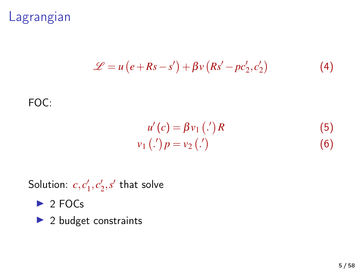### Lagrangian

$$
\mathcal{L} = u\left(e + Rs - s'\right) + \beta v\left(Rs' - pc'_2, c'_2\right) \tag{4}
$$

#### FOC:

$$
u'(c) = \beta v_1 \, (.) \, R \tag{5}
$$
  

$$
v_1 \, (.) \, p = v_2 \, (.) \tag{6}
$$

Solution:  $c, c'_1, c'_2, s'$  that solve

- $\triangleright$  2 FOCs
- $\blacktriangleright$  2 budget constraints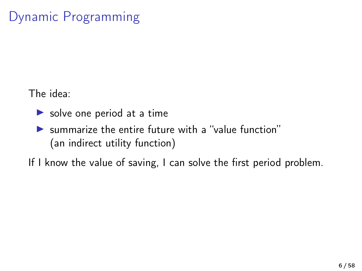# Dynamic Programming

The idea:

- $\triangleright$  solve one period at a time
- $\blacktriangleright$  summarize the entire future with a "value function" (an indirect utility function)

If I know the value of saving, I can solve the first period problem.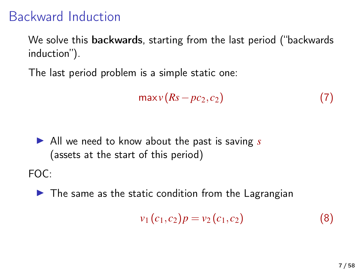# Backward Induction

We solve this backwards, starting from the last period ("backwards induction").

The last period problem is a simple static one:

$$
\max v(Rs - pc_2, c_2) \tag{7}
$$

▶ All we need to know about the past is saving *s* (assets at the start of this period)

FOC:

 $\blacktriangleright$  The same as the static condition from the Lagrangian

$$
v_1(c_1,c_2)p = v_2(c_1,c_2)
$$
 (8)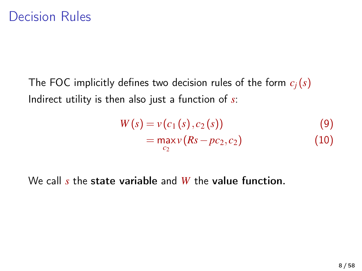The FOC implicitly defines two decision rules of the form *cj*(*s*) Indirect utility is then also just a function of *s*:

$$
W(s) = v(c_1(s), c_2(s))
$$
  
= 
$$
\max_{c_2} v(Rs - pc_2, c_2)
$$
 (9)

We call *s* the state variable and *W* the value function.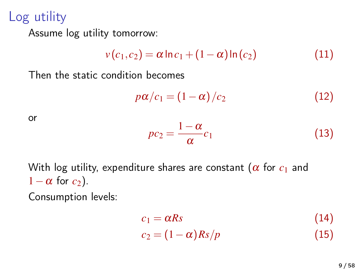Log utility

Assume log utility tomorrow:

$$
v(c_1, c_2) = \alpha \ln c_1 + (1 - \alpha) \ln (c_2)
$$
 (11)

Then the static condition becomes

$$
p\alpha/c_1 = (1 - \alpha)/c_2 \tag{12}
$$

or

$$
pc_2 = \frac{1-\alpha}{\alpha}c_1\tag{13}
$$

With log utility, expenditure shares are constant ( $\alpha$  for  $c_1$  and  $1-\alpha$  for  $c_2$ ).

Consumption levels:

$$
c_1 = \alpha R s \tag{14}
$$
  
\n
$$
c_2 = (1 - \alpha) R s / p \tag{15}
$$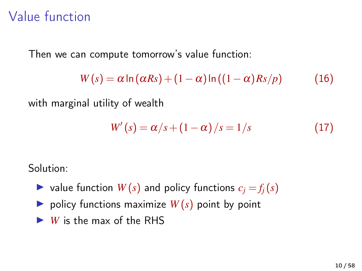# Value function

Then we can compute tomorrow's value function:

$$
W(s) = \alpha \ln(\alpha R s) + (1 - \alpha) \ln((1 - \alpha) R s/p) \tag{16}
$$

with marginal utility of wealth

$$
W'(s) = \alpha/s + (1 - \alpha)/s = 1/s \tag{17}
$$

Solution:

- $\triangleright$  value function  $W(s)$  and policy functions  $c_j = f_j(s)$
- $\triangleright$  policy functions maximize  $W(s)$  point by point
- $\blacktriangleright$  *W* is the max of the RHS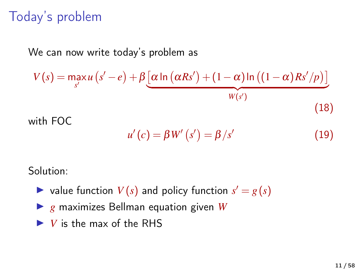# Today's problem

We can now write today's problem as

$$
V(s) = \max_{s'} u(s'-e) + \beta \underbrace{\left[\alpha \ln \left(\alpha R s'\right) + (1-\alpha) \ln \left((1-\alpha) R s'/p\right)\right]}_{W(s')}
$$
\nwith FOC

\n
$$
(18)
$$

 $u'(c) = \beta W'(s') = \beta/s'$ (19)

Solution:

- $\triangleright$  value function  $V(s)$  and policy function  $s' = g(s)$
- ▶ *g* maximizes Bellman equation given *W*
- $\blacktriangleright$  *V* is the max of the RHS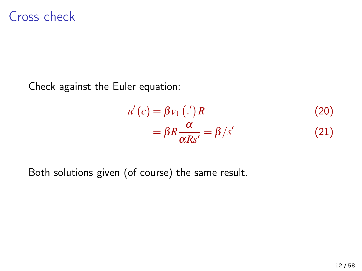#### Cross check

Check against the Euler equation:

$$
u'(c) = \beta v_1 \left( \frac{c}{c} \right) R
$$
  
=  $\beta R \frac{\alpha}{\alpha R s'} = \beta / s'$  (20)

Both solutions given (of course) the same result.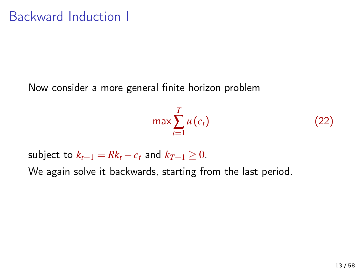Now consider a more general finite horizon problem

$$
\max \sum_{t=1}^{T} u(c_t) \tag{22}
$$

subject to  $k_{t+1} = Rk_t - c_t$  and  $k_{T+1} \geq 0$ .

We again solve it backwards, starting from the last period.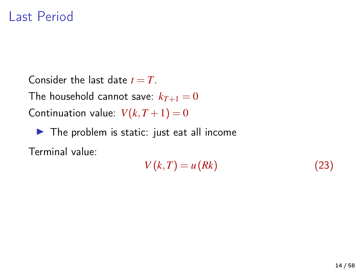#### Last Period

Consider the last date  $t = T$ . The household cannot save:  $k_{T+1} = 0$ Continuation value:  $V(k, T + 1) = 0$ 

 $\blacktriangleright$  The problem is static: just eat all income

Terminal value:

$$
V(k,T) = u(Rk)
$$
\n(23)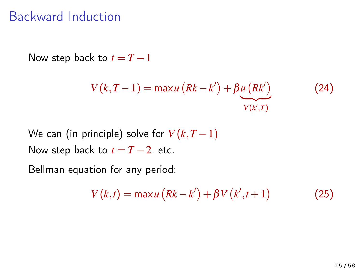#### Backward Induction

Now step back to  $t = T - 1$ 

$$
V(k, T-1) = \max u\left(Rk - k'\right) + \beta \underbrace{u\left(Rk'\right)}_{V(k',T)}
$$
(24)

We can (in principle) solve for  $V(k, T-1)$ Now step back to  $t = T - 2$ , etc.

Bellman equation for any period:

$$
V(k,t) = \max u\left(Rk - k'\right) + \beta V\left(k', t+1\right) \tag{25}
$$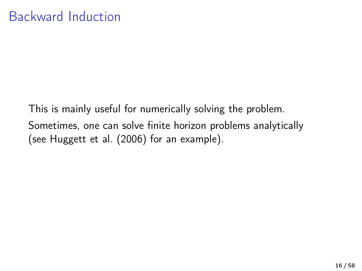This is mainly useful for numerically solving the problem. Sometimes, one can solve finite horizon problems analytically (see [Huggett et al. \(2006\)](#page-57-0) for an example).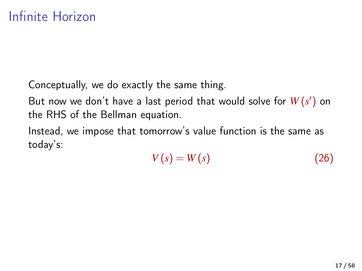Conceptually, we do exactly the same thing.

But now we don't have a last period that would solve for  $W(s')$  on the RHS of the Bellman equation.

Instead, we impose that tomorrow's value function is the same as today's:

$$
V(s) = W(s) \tag{26}
$$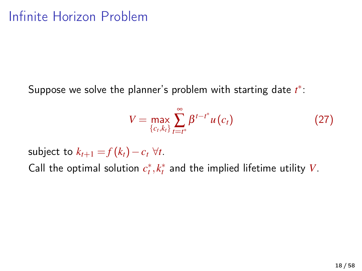Suppose we solve the planner's problem with starting date *t* ∗ :

$$
V = \max_{\{c_t, k_t\}} \sum_{t=t^*}^{\infty} \beta^{t-t^*} u(c_t)
$$
 (27)

subject to  $k_{t+1} = f(k_t) - c_t \ \forall t$ . Call the optimal solution  $c_t^*, k_t^*$  and the implied lifetime utility *V*.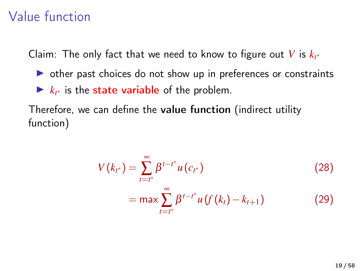# Value function

Claim: The only fact that we need to know to figure out  $V$  is  $k_{t^*}$ 

- $\triangleright$  other past choices do not show up in preferences or constraints
- $\blacktriangleright k_{t^*}$  is the state variable of the problem.

Therefore, we can define the value function (indirect utility function)

$$
V(k_{t^*}) = \sum_{t=t^*}^{\infty} \beta^{t-t^*} u(c_{t^*})
$$
\n
$$
= \max \sum_{t=t^*}^{\infty} \beta^{t-t^*} u(f(k_t) - k_{t+1})
$$
\n(29)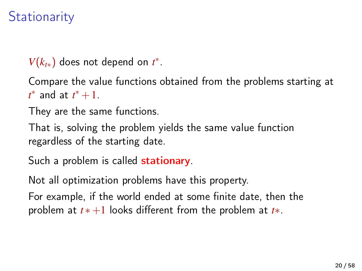# **Stationarity**

 $V(k_{t*})$  does not depend on  $t^*$ .

Compare the value functions obtained from the problems starting at  $t^*$  and at  $t^*+1$ .

They are the same functions.

That is, solving the problem yields the same value function regardless of the starting date.

Such a problem is called **stationary**.

Not all optimization problems have this property.

For example, if the world ended at some finite date, then the problem at *t* ∗+1 looks different from the problem at *t*∗.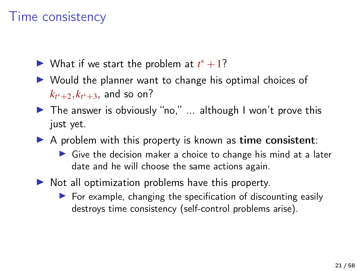### Time consistency

- ► What if we start the problem at  $t^* + 1$ ?
- $\triangleright$  Would the planner want to change his optimal choices of  $k_{t^*+2}, k_{t^*+3}$ , and so on?
- $\triangleright$  The answer is obviously "no," ... although I won't prove this just yet.
- $\triangleright$  A problem with this property is known as time consistent:
	- $\triangleright$  Give the decision maker a choice to change his mind at a later date and he will choose the same actions again.
- $\triangleright$  Not all optimization problems have this property.
	- $\triangleright$  For example, changing the specification of discounting easily destroys time consistency (self-control problems arise).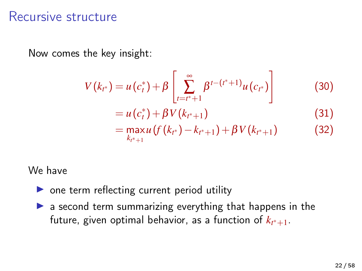#### Recursive structure

Now comes the key insight:

$$
V(k_{t^*}) = u(c_t^*) + \beta \left[ \sum_{t=t^*+1}^{\infty} \beta^{t-(t^*+1)} u(c_{t^*}) \right]
$$
(30)

$$
= u(ct*) + \beta V(kt*+1)
$$
\n(31)

$$
= \max_{k_{r^*+1}} u(f(k_{r^*}) - k_{r^*+1}) + \beta V(k_{r^*+1})
$$
\n(32)

#### We have

- $\triangleright$  one term reflecting current period utility
- $\triangleright$  a second term summarizing everything that happens in the future, given optimal behavior, as a function of  $k_{t^*+1}.$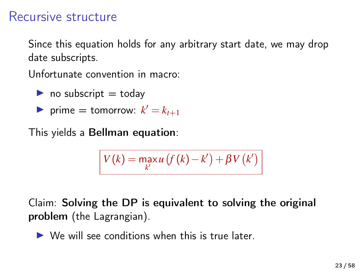#### Recursive structure

Since this equation holds for any arbitrary start date, we may drop date subscripts.

Unfortunate convention in macro:

- $\triangleright$  no subscript = today
- **P** prime = tomorrow:  $k' = k_{t+1}$

This yields a Bellman equation:

$$
V(k) = \max_{k'} u\left(f(k) - k'\right) + \beta V(k')
$$

Claim: Solving the DP is equivalent to solving the original problem (the Lagrangian).

 $\triangleright$  We will see conditions when this is true later.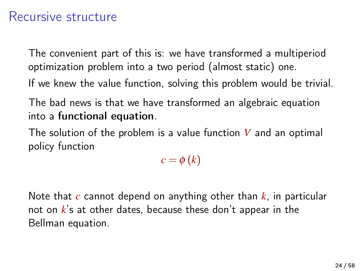#### Recursive structure

The convenient part of this is: we have transformed a multiperiod optimization problem into a two period (almost static) one.

- If we knew the value function, solving this problem would be trivial.
- The bad news is that we have transformed an algebraic equation into a functional equation.
- The solution of the problem is a value function *V* and an optimal policy function

 $c = \phi(k)$ 

Note that *c* cannot depend on anything other than *k*, in particular not on *k*'s at other dates, because these don't appear in the Bellman equation.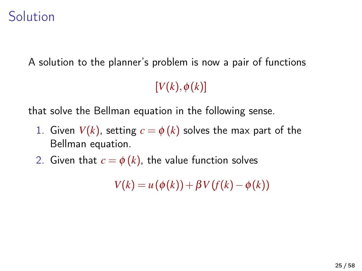#### Solution

A solution to the planner's problem is now a pair of functions

 $[V(k), \phi(k)]$ 

that solve the Bellman equation in the following sense.

- 1. Given  $V(k)$ , setting  $c = \phi(k)$  solves the max part of the Bellman equation.
- 2. Given that  $c = \phi(k)$ , the value function solves

 $V(k) = u(\phi(k)) + \beta V(f(k) - \phi(k))$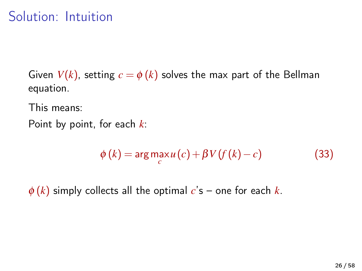## Solution: Intuition

Given  $V(k)$ , setting  $c = \phi(k)$  solves the max part of the Bellman equation.

This means:

Point by point, for each *k*:

$$
\phi(k) = \arg\max_{c} u(c) + \beta V(f(k) - c)
$$
\n(33)

 $\phi(k)$  simply collects all the optimal  $c's$  – one for each *k*.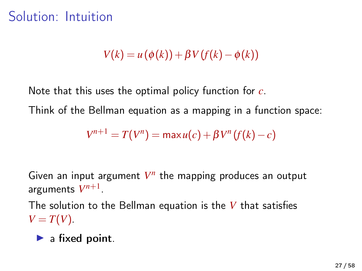#### Solution: Intuition

 $V(k) = u(\phi(k)) + \beta V(f(k) - \phi(k))$ 

Note that this uses the optimal policy function for *c*.

Think of the Bellman equation as a mapping in a function space:

 $V^{n+1} = T(V^n) = \max u(c) + \beta V^n (f(k) - c)$ 

Given an input argument  $V^n$  the mapping produces an output arguments  $V^{n+1}$ .

The solution to the Bellman equation is the *V* that satisfies  $V = T(V)$ .

 $\blacktriangleright$  a fixed point.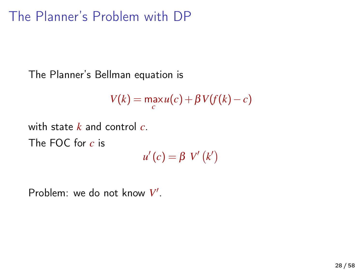# The Planner's Problem with DP

The Planner's Bellman equation is

$$
V(k) = \max_{c} u(c) + \beta V(f(k) - c)
$$

with state *k* and control *c*.

The FOC for *c* is

 $u'(c) = \beta V'(k')$ 

Problem: we do not know V'.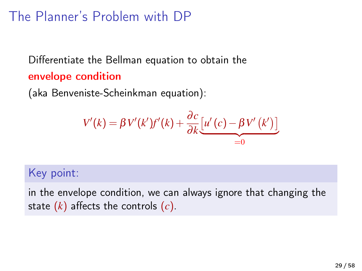# The Planner's Problem with DP

Differentiate the Bellman equation to obtain the envelope condition

(aka Benveniste-Scheinkman equation):

$$
V'(k) = \beta V'(k')f'(k) + \frac{\partial c}{\partial k} \underbrace{[u'(c) - \beta V'(k')]}_{=0}
$$

#### Key point:

in the envelope condition, we can always ignore that changing the state (*k*) affects the controls (*c*).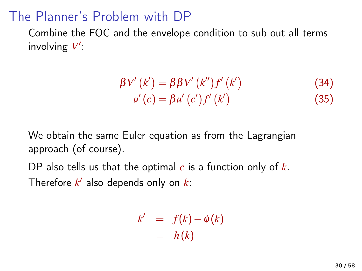### The Planner's Problem with DP

Combine the FOC and the envelope condition to sub out all terms involving  $V'$ :

$$
\beta V'(k') = \beta \beta V'(k'') f'(k')
$$
 (34)  

$$
u'(c) = \beta u'(c') f'(k')
$$
 (35)

We obtain the same Euler equation as from the Lagrangian approach (of course).

DP also tells us that the optimal *c* is a function only of *k*. Therefore  $k'$  also depends only on  $k$ :

$$
k' = f(k) - \phi(k)
$$
  
= h(k)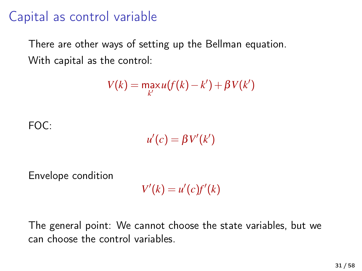# Capital as control variable

There are other ways of setting up the Bellman equation. With capital as the control:

$$
V(k) = \max_{k'} u(f(k) - k') + \beta V(k')
$$

 $FOC$ 

 $u'(c) = \beta V'(k')$ 

Envelope condition

 $V'(k) = u'(c)f'(k)$ 

The general point: We cannot choose the state variables, but we can choose the control variables.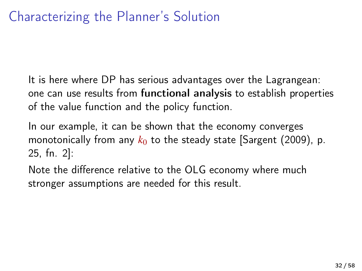It is here where DP has serious advantages over the Lagrangean: one can use results from functional analysis to establish properties of the value function and the policy function.

In our example, it can be shown that the economy converges monotonically from any  $k_0$  to the steady state [\[Sargent \(2009\)](#page-57-1), p. 25, fn. 2]:

Note the difference relative to the OLG economy where much stronger assumptions are needed for this result.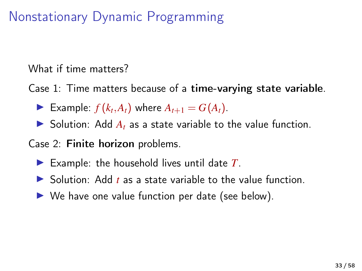# Nonstationary Dynamic Programming

What if time matters?

Case 1: Time matters because of a time-varying state variable.

- Example:  $f(k_t, A_t)$  where  $A_{t+1} = G(A_t)$ .
- $\triangleright$  Solution: Add  $A_t$  as a state variable to the value function.

Case 2: Finite horizon problems.

- Example: the household lives until date  $T$ .
- $\triangleright$  Solution: Add *t* as a state variable to the value function.
- $\triangleright$  We have one value function per date (see below).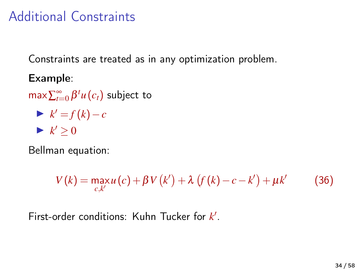### Additional Constraints

Constraints are treated as in any optimization problem.

Example:

 $\max\sum_{t=0}^{\infty}\beta^{t}u(c_{t})$  subject to

 $\blacktriangleright$   $k' = f(k) - c$  $\blacktriangleright k' \geq 0$ 

Bellman equation:

$$
V(k) = \max_{c,k'} u(c) + \beta V(k') + \lambda (f(k) - c - k') + \mu k' \tag{36}
$$

First-order conditions: Kuhn Tucker for k'.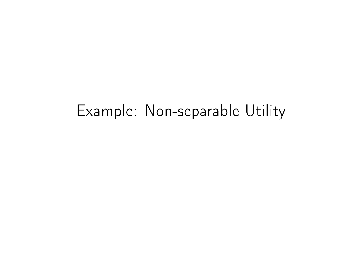# Example: Non-separable Utility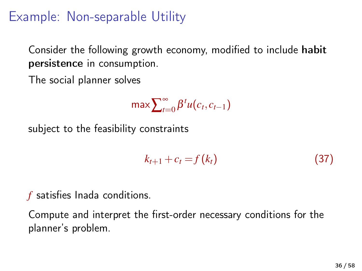# Example: Non-separable Utility

Consider the following growth economy, modified to include habit persistence in consumption.

The social planner solves

$$
\max \sum_{t=0}^{\infty} \beta^t u(c_t, c_{t-1})
$$

subject to the feasibility constraints

$$
k_{t+1} + c_t = f(k_t) \tag{37}
$$

*f* satisfies Inada conditions.

Compute and interpret the first-order necessary conditions for the planner's problem.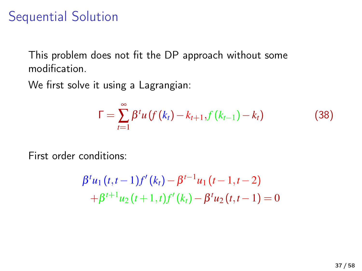### Sequential Solution

This problem does not fit the DP approach without some modification.

We first solve it using a Lagrangian:

$$
\Gamma = \sum_{t=1}^{\infty} \beta^t u \left( f(k_t) - k_{t+1}, f(k_{t-1}) - k_t \right) \tag{38}
$$

First order conditions:

$$
\beta^{t} u_{1}(t,t-1)f'(k_{t}) - \beta^{t-1} u_{1}(t-1,t-2) +\beta^{t+1} u_{2}(t+1,t)f'(k_{t}) - \beta^{t} u_{2}(t,t-1) = 0
$$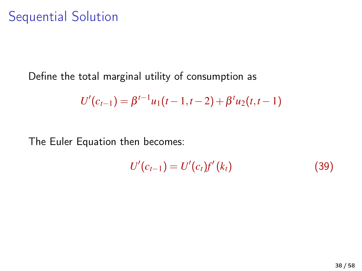#### Sequential Solution

Define the total marginal utility of consumption as

$$
U'(c_{t-1}) = \beta^{t-1}u_1(t-1,t-2) + \beta^t u_2(t,t-1)
$$

The Euler Equation then becomes:

$$
U'(c_{t-1}) = U'(c_t) f'(k_t)
$$
\n(39)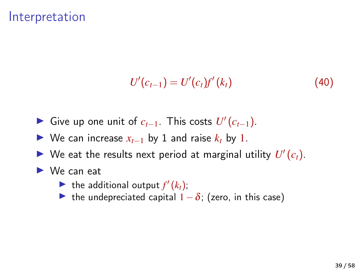#### Interpretation

$$
U'(c_{t-1}) = U'(c_t)f'(k_t)
$$
\n(40)

- ► Give up one unit of  $c_{t-1}$ . This costs  $U'(c_{t-1})$ .
- $\triangleright$  We can increase  $x_{t-1}$  by 1 and raise  $k_t$  by 1.
- $\blacktriangleright$  We eat the results next period at marginal utility  $U'(c_t)$ .
- $\blacktriangleright$  We can eat
	- If the additional output  $f'(k_t)$ ;
	- $\triangleright$  the undepreciated capital  $1-\delta$ ; (zero, in this case)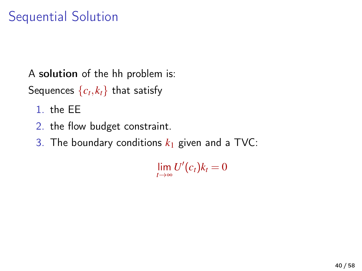# Sequential Solution

A solution of the hh problem is:

Sequences  $\{c_t, k_t\}$  that satisfy

- 1. the EE
- 2. the flow budget constraint.
- 3. The boundary conditions  $k_1$  given and a TVC:

 $\lim_{t\to\infty}$ *U*<sup> $\prime$ </sup>(*c*<sub>*t*</sub>)*k*<sub>*t*</sub> = 0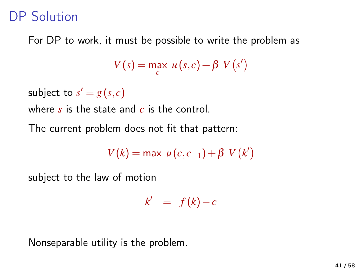### DP Solution

For DP to work, it must be possible to write the problem as

$$
V(s) = \max_{c} u(s, c) + \beta V(s')
$$

subject to  $s' = g(s, c)$ 

where *s* is the state and *c* is the control.

The current problem does not fit that pattern:

$$
V(k) = \max u(c, c_{-1}) + \beta V(k')
$$

subject to the law of motion

 $k' = f(k)-c$ 

Nonseparable utility is the problem.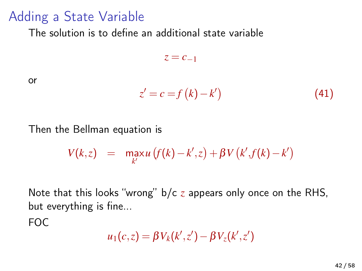### Adding a State Variable

The solution is to define an additional state variable

 $z = c_{-1}$ 

or

$$
z' = c = f(k) - k'
$$
\n(41)

Then the Bellman equation is

$$
V(k, z) = \max_{k'} u(f(k) - k', z) + \beta V(k', f(k) - k')
$$

Note that this looks "wrong" b/c *z* appears only once on the RHS, but everything is fine...

FOC

$$
u_1(c,z) = \beta V_k(k',z') - \beta V_z(k',z')
$$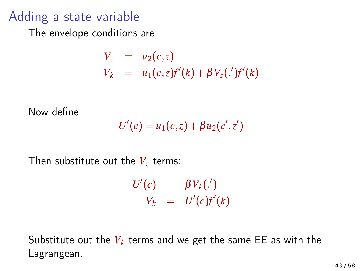### Adding a state variable

The envelope conditions are

$$
V_z = u_2(c, z)
$$
  
\n
$$
V_k = u_1(c, z)f'(k) + \beta V_z(\cdot')f'(k)
$$

Now define

$$
U'(c) = u_1(c,z) + \beta u_2(c',z')
$$

Then substitute out the  $V_z$  terms:

$$
U'(c) = \beta V_k(.)
$$
  

$$
V_k = U'(c)f'(k)
$$

Substitute out the  $V_k$  terms and we get the same EE as with the Lagrangean.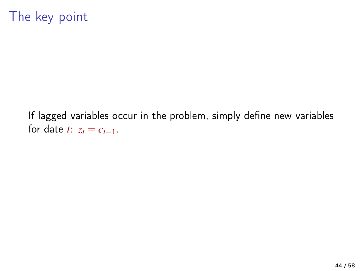# The key point

If lagged variables occur in the problem, simply define new variables for date  $t: z_t = c_{t-1}$ .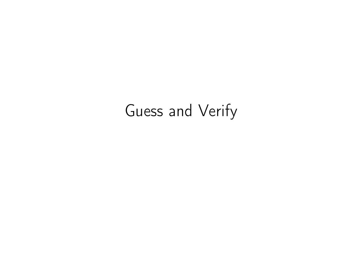# Guess and Verify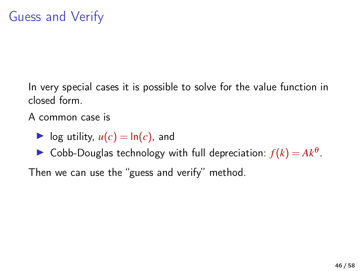In very special cases it is possible to solve for the value function in closed form.

A common case is

 $\triangleright$  log utility,  $u(c) = \ln(c)$ , and

► Cobb-Douglas technology with full depreciation:  $f(k) = Ak^{\theta}$ .

Then we can use the "guess and verify" method.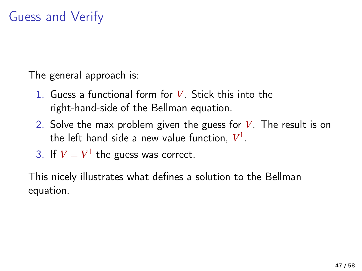# Guess and Verify

The general approach is:

- 1. Guess a functional form for *V*. Stick this into the right-hand-side of the Bellman equation.
- 2. Solve the max problem given the guess for *V*. The result is on the left hand side a new value function, *V* 1 .

3. If 
$$
V = V^1
$$
 the guess was correct.

This nicely illustrates what defines a solution to the Bellman equation.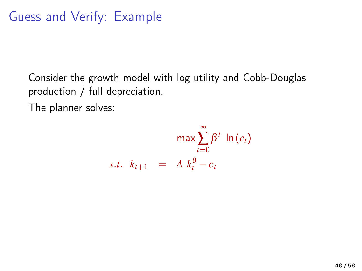Consider the growth model with log utility and Cobb-Douglas production / full depreciation.

The planner solves:

$$
\max \sum_{t=0}^{\infty} \beta^t \ln(c_t)
$$
  
s.t.  $k_{t+1} = A k_t^{\theta} - c_t$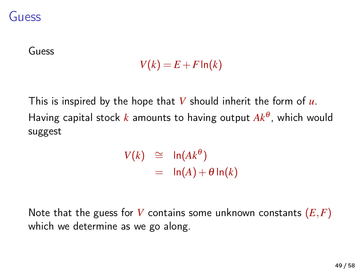#### Guess

Guess

$$
V(k) = E + F \ln(k)
$$

This is inspired by the hope that *V* should inherit the form of *u*. Having capital stock *k* amounts to having output *Ak*<sup>θ</sup> , which would suggest

> *V*(*k*)  $\cong$  ln(*Ak*<sup>θ</sup>)  $=$   $\ln(A) + \theta \ln(k)$

Note that the guess for *V* contains some unknown constants (*E*,*F*) which we determine as we go along.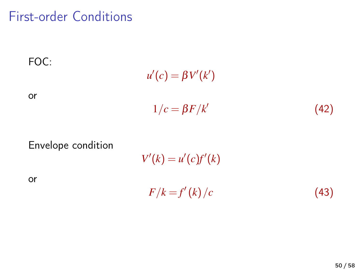#### First-order Conditions



Envelope condition

or

 $V'(k) = u'(c)f'(k)$  $F/k = f'(k)/c$  (43)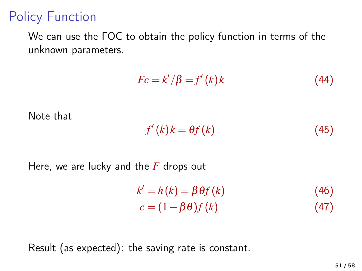# Policy Function

We can use the FOC to obtain the policy function in terms of the unknown parameters.

$$
Fc = k'/\beta = f'(k)k
$$
\n(44)

Note that

$$
f'(k)k = \theta f(k) \tag{45}
$$

Here, we are lucky and the *F* drops out

$$
k' = h(k) = \beta \theta f(k)
$$
\n
$$
c = (1 - \beta \theta) f(k)
$$
\n(46)\n(47)

Result (as expected): the saving rate is constant.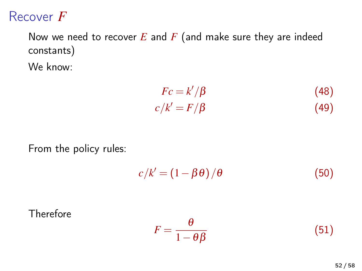#### Recover *F*

Now we need to recover *E* and *F* (and make sure they are indeed constants) We know:

$$
Fc = k'/\beta \tag{48}
$$
  

$$
c/k' = F/\beta \tag{49}
$$

From the policy rules:

$$
c/k' = (1 - \beta \theta) / \theta \tag{50}
$$

Therefore

$$
F = \frac{\theta}{1 - \theta \beta} \tag{51}
$$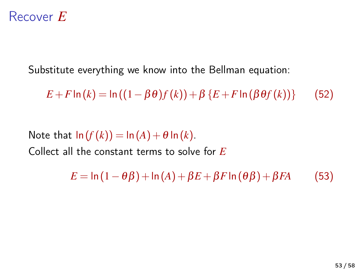#### Recover *E*

Substitute everything we know into the Bellman equation:

*E* + *F* ln (*k*) = ln ((1 – β θ)  $f(k)$ ) + β {*E* + *F* ln (β θ $f(k)$ )} (52)

Note that  $\ln(f(k)) = \ln(A) + \theta \ln(k)$ . Collect all the constant terms to solve for *E*

 $E = \ln(1 - \theta \beta) + \ln(A) + \beta E + \beta F \ln(\theta \beta) + \beta F A$  (53)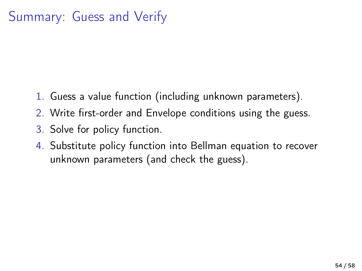# Summary: Guess and Verify

- 1. Guess a value function (including unknown parameters).
- 2. Write first-order and Envelope conditions using the guess.
- 3. Solve for policy function.
- 4. Substitute policy function into Bellman equation to recover unknown parameters (and check the guess).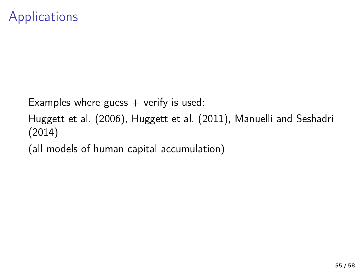Examples where guess  $+$  verify is used:

[Huggett et al. \(2006\)](#page-57-0), [Huggett et al. \(2011\)](#page-57-2), [Manuelli and Seshadri](#page-57-3) [\(2014\)](#page-57-3)

(all models of human capital accumulation)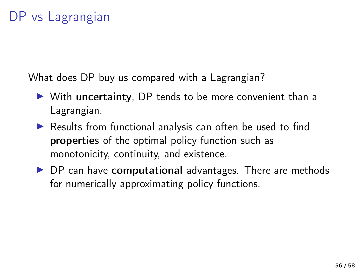What does DP buy us compared with a Lagrangian?

- $\triangleright$  With uncertainty, DP tends to be more convenient than a Lagrangian.
- $\triangleright$  Results from functional analysis can often be used to find properties of the optimal policy function such as monotonicity, continuity, and existence.
- $\triangleright$  DP can have computational advantages. There are methods for numerically approximating policy functions.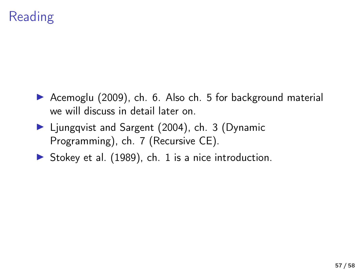# Reading

- ▶ [Acemoglu \(2009\)](#page-57-4), ch. 6. Also ch. 5 for background material we will discuss in detail later on.
- ▶ [Ljungqvist and Sargent \(2004\)](#page-57-5), ch. 3 (Dynamic Programming), ch. 7 (Recursive CE).
- Stokey et al.  $(1989)$ , ch. 1 is a nice introduction.